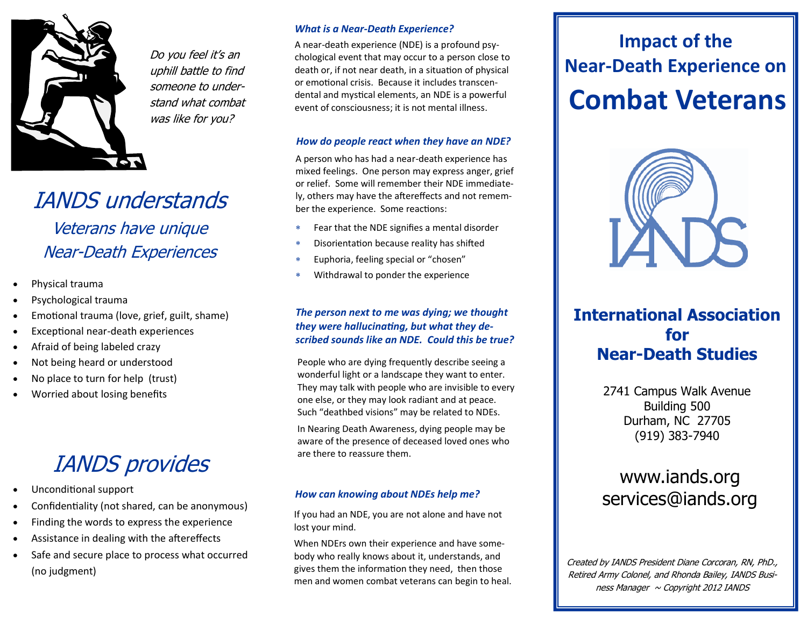

Do you feel it's an uphill battle to find someone to understand what combat was like for you?

# IANDS understands

Veterans have unique Near-Death Experiences

- Physical trauma
- Psychological trauma
- Emotional trauma (love, grief, guilt, shame)
- Exceptional near-death experiences
- Afraid of being labeled crazy
- Not being heard or understood
- No place to turn for help (trust)
- Worried about losing benefits

## IANDS provides

- Unconditional support
- Confidentiality (not shared, can be anonymous)
- Finding the words to express the experience
- Assistance in dealing with the aftereffects
- Safe and secure place to process what occurred (no judgment)

#### *What is a Near-Death Experience?*

A near-death experience (NDE) is a profound psychological event that may occur to a person close to death or, if not near death, in a situation of physical or emotional crisis. Because it includes transcendental and mystical elements, an NDE is a powerful event of consciousness; it is not mental illness.

#### *How do people react when they have an NDE?*

A person who has had a near-death experience has mixed feelings. One person may express anger, grief or relief. Some will remember their NDE immediately, others may have the aftereffects and not remember the experience. Some reactions:

- Fear that the NDE signifies a mental disorder
- Disorientation because reality has shifted
- Euphoria, feeling special or "chosen"
- Withdrawal to ponder the experience

#### *The person next to me was dying; we thought they were hallucinating, but what they described sounds like an NDE. Could this be true?*

People who are dying frequently describe seeing a wonderful light or a landscape they want to enter. They may talk with people who are invisible to every one else, or they may look radiant and at peace. Such "deathbed visions" may be related to NDEs.

In Nearing Death Awareness, dying people may be aware of the presence of deceased loved ones who are there to reassure them.

#### *How can knowing about NDEs help me?*

If you had an NDE, you are not alone and have not lost your mind.

When NDErs own their experience and have somebody who really knows about it, understands, and gives them the information they need, then those men and women combat veterans can begin to heal.

# **Combat Veterans Impact of the Near-Death Experience on**



### **International Association for Near-Death Studies**

2741 Campus Walk Avenue Building 500 Durham, NC 27705 (919) 383-7940

### www.iands.org services@iands.org

Created by IANDS President Diane Corcoran, RN, PhD., Retired Army Colonel, and Rhonda Bailey, IANDS Business Manager  $\sim$  Copyright 2012 IANDS